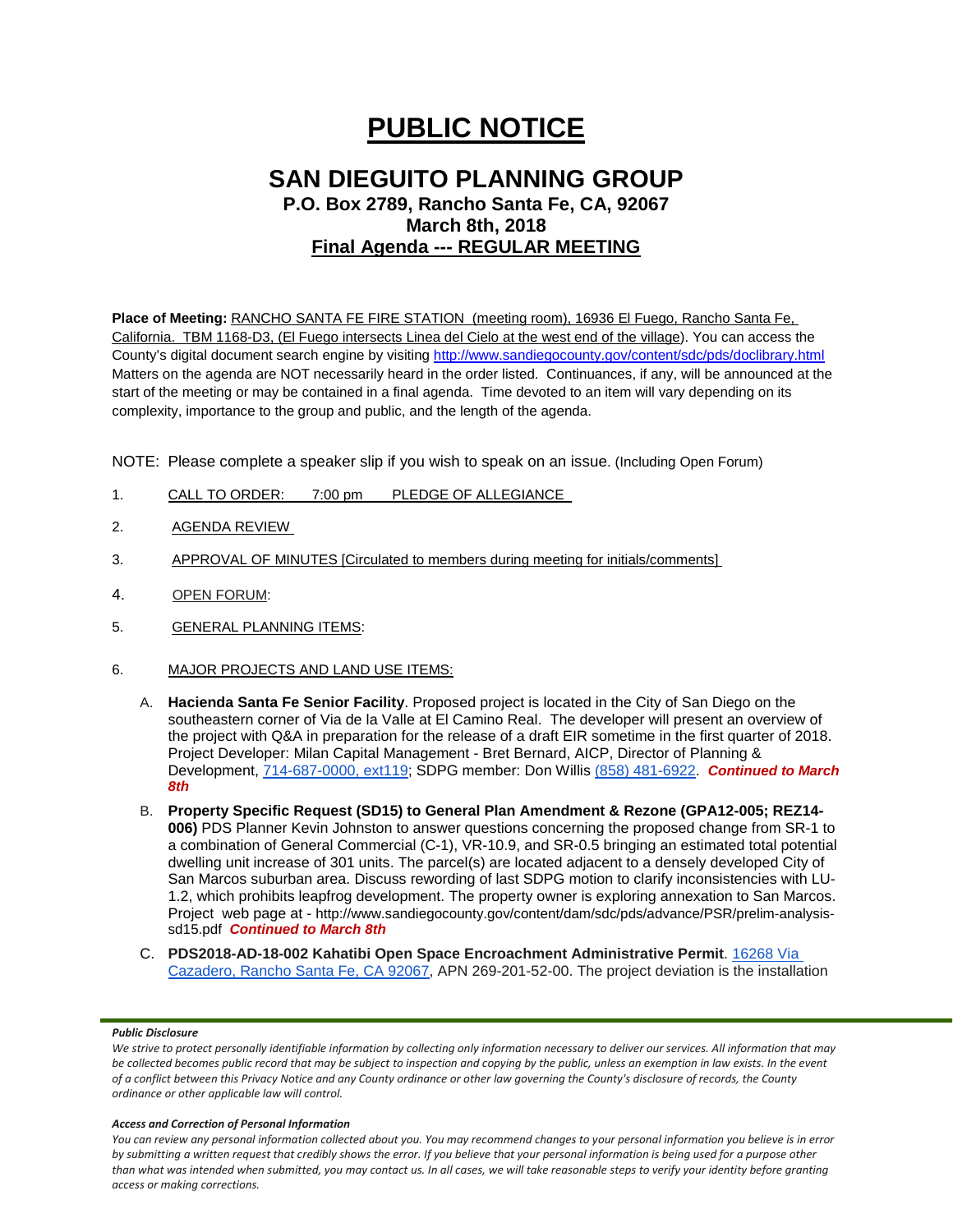# **PUBLIC NOTICE**

## **SAN DIEGUITO PLANNING GROUP P.O. Box 2789, Rancho Santa Fe, CA, 92067 March 8th, 2018 Final Agenda --- REGULAR MEETING**

**Place of Meeting:** RANCHO SANTA FE FIRE STATION (meeting room), 16936 El Fuego, Rancho Santa Fe, California. TBM 1168-D3, (El Fuego intersects Linea del Cielo at the west end of the village). You can access the County's digital document search engine by visitin[g http://www.sandiegocounty.gov/content/sdc/pds/doclibrary.html](http://www.sandiegocounty.gov/content/sdc/pds/doclibrary.html) Matters on the agenda are NOT necessarily heard in the order listed. Continuances, if any, will be announced at the start of the meeting or may be contained in a final agenda. Time devoted to an item will vary depending on its complexity, importance to the group and public, and the length of the agenda.

NOTE: Please complete a speaker slip if you wish to speak on an issue. (Including Open Forum)

- 1. CALL TO ORDER: 7:00 pm PLEDGE OF ALLEGIANCE
- 2. AGENDA REVIEW
- 3. APPROVAL OF MINUTES [Circulated to members during meeting for initials/comments]
- 4. OPEN FORUM:
- 5. GENERAL PLANNING ITEMS:
- 6. MAJOR PROJECTS AND LAND USE ITEMS:
	- A. **Hacienda Santa Fe Senior Facility**. Proposed project is located in the City of San Diego on the southeastern corner of Via de la Valle at El Camino Real. The developer will present an overview of the project with Q&A in preparation for the release of a draft EIR sometime in the first quarter of 2018. Project Developer: Milan Capital Management - Bret Bernard, AICP, Director of Planning & Development, [714-687-0000, ext119;](tel:(714)%20687-0000) SDPG member: Don Willis [\(858\) 481-6922.](tel:(858)%20481-6922) **Continued to March** *8th*
	- B. **Property Specific Request (SD15) to General Plan Amendment & Rezone (GPA12-005; REZ14- 006)** PDS Planner Kevin Johnston to answer questions concerning the proposed change from SR-1 to a combination of General Commercial (C-1), VR-10.9, and SR-0.5 bringing an estimated total potential dwelling unit increase of 301 units. The parcel(s) are located adjacent to a densely developed City of San Marcos suburban area. Discuss rewording of last SDPG motion to clarify inconsistencies with LU-1.2, which prohibits leapfrog development. The property owner is exploring annexation to San Marcos. Project web page at - [http://www.sandiegocounty.gov/content/dam/sdc/pds/advance/PSR/prelim-analysis](http://www.sandiegocounty.gov/content/dam/sdc/pds/advance/PSR/prelim-analysis-sd15.pdf)[sd15.pdf](http://www.sandiegocounty.gov/content/dam/sdc/pds/advance/PSR/prelim-analysis-sd15.pdf) *Continued to March 8th*
	- C. **PDS2018-AD-18-002 Kahatibi Open Space Encroachment Administrative Permit**. [16268 Via](https://maps.google.com/?q=16268+Via+Cazadero,+Rancho+Santa+Fe,+CA+92067&entry=gmail&source=g)  [Cazadero, Rancho Santa Fe, CA 92067,](https://maps.google.com/?q=16268+Via+Cazadero,+Rancho+Santa+Fe,+CA+92067&entry=gmail&source=g) APN 269-201-52-00. The project deviation is the installation

#### *Public Disclosure*

#### *Access and Correction of Personal Information*

*You can review any personal information collected about you. You may recommend changes to your personal information you believe is in error by submitting a written request that credibly shows the error. If you believe that your personal information is being used for a purpose other than what was intended when submitted, you may contact us. In all cases, we will take reasonable steps to verify your identity before granting access or making corrections.*

*We strive to protect personally identifiable information by collecting only information necessary to deliver our services. All information that may be collected becomes public record that may be subject to inspection and copying by the public, unless an exemption in law exists. In the event of a conflict between this Privacy Notice and any County ordinance or other law governing the County's disclosure of records, the County ordinance or other applicable law will control.*